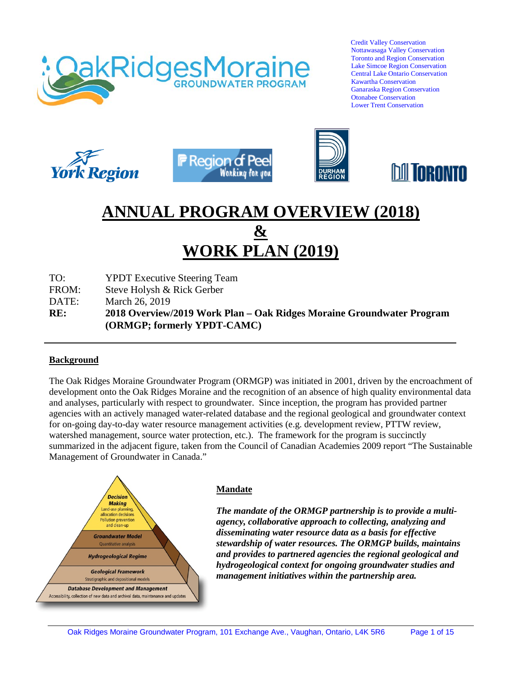

 Credit Valley Conservation Nottawasaga Valley Conservation Toronto and Region Conservation Lake Simcoe Region Conservation Central Lake Ontario Conservation Kawartha Conservation Ganaraska Region Conservation Otonabee Conservation Lower Trent Conservation









# **ANNUAL PROGRAM OVERVIEW (2018) & WORK PLAN (2019)**

TO: YPDT Executive Steering Team

FROM: Steve Holysh & Rick Gerber

DATE: March 26, 2019

**RE: 2018 Overview/2019 Work Plan – Oak Ridges Moraine Groundwater Program (ORMGP; formerly YPDT-CAMC)**

#### **Background**

The Oak Ridges Moraine Groundwater Program (ORMGP) was initiated in 2001, driven by the encroachment of development onto the Oak Ridges Moraine and the recognition of an absence of high quality environmental data and analyses, particularly with respect to groundwater. Since inception, the program has provided partner agencies with an actively managed water-related database and the regional geological and groundwater context for on-going day-to-day water resource management activities (e.g. development review, PTTW review, watershed management, source water protection, etc.). The framework for the program is succinctly summarized in the adjacent figure, taken from the Council of Canadian Academies 2009 report "The Sustainable Management of Groundwater in Canada."



#### **Mandate**

*The mandate of the ORMGP partnership is to provide a multiagency, collaborative approach to collecting, analyzing and disseminating water resource data as a basis for effective stewardship of water resources. The ORMGP builds, maintains and provides to partnered agencies the regional geological and hydrogeological context for ongoing groundwater studies and management initiatives within the partnership area.*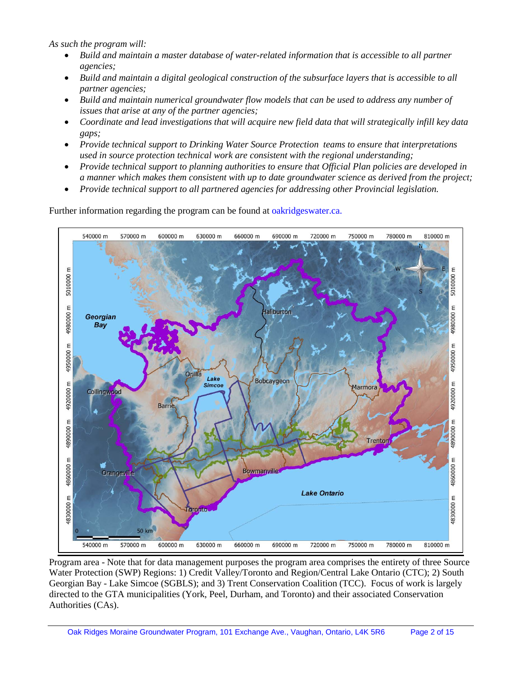*As such the program will:* 

- *Build and maintain a master database of water-related information that is accessible to all partner agencies;*
- *Build and maintain a digital geological construction of the subsurface layers that is accessible to all partner agencies;*
- *Build and maintain numerical groundwater flow models that can be used to address any number of issues that arise at any of the partner agencies;*
- *Coordinate and lead investigations that will acquire new field data that will strategically infill key data gaps;*
- *Provide technical support to Drinking Water Source Protection teams to ensure that interpretations used in source protection technical work are consistent with the regional understanding;*
- *Provide technical support to planning authorities to ensure that Official Plan policies are developed in a manner which makes them consistent with up to date groundwater science as derived from the project;*
- *Provide technical support to all partnered agencies for addressing other Provincial legislation.*

Further information regarding the program can be found at oakridgeswater.ca.



Program area - Note that for data management purposes the program area comprises the entirety of three Source Water Protection (SWP) Regions: 1) Credit Valley/Toronto and Region/Central Lake Ontario (CTC); 2) South Georgian Bay - Lake Simcoe (SGBLS); and 3) Trent Conservation Coalition (TCC). Focus of work is largely directed to the GTA municipalities (York, Peel, Durham, and Toronto) and their associated Conservation Authorities (CAs).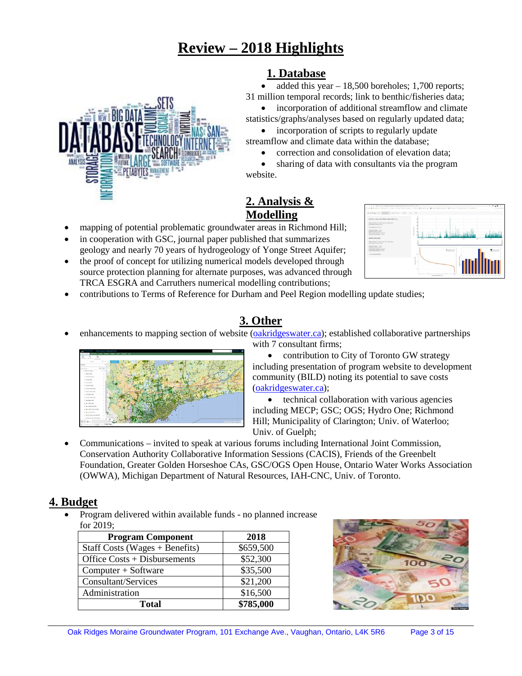# **Review – 2018 Highlights**

# **1. Database**

added this year  $-18,500$  boreholes; 1,700 reports; 31 million temporal records; link to benthic/fisheries data;

incorporation of additional streamflow and climate statistics/graphs/analyses based on regularly updated data;

• incorporation of scripts to regularly update streamflow and climate data within the database;

• correction and consolidation of elevation data;

sharing of data with consultants via the program website.

# **2. Analysis & Modelling**

- mapping of potential problematic groundwater areas in Richmond Hill;
- in cooperation with GSC, journal paper published that summarizes geology and nearly 70 years of hydrogeology of Yonge Street Aquifer;
- the proof of concept for utilizing numerical models developed through source protection planning for alternate purposes, was advanced through TRCA ESGRA and Carruthers numerical modelling contributions;



• contributions to Terms of Reference for Durham and Peel Region modelling update studies;

# **3. Other**

• enhancements to mapping section of website [\(oakridgeswater.ca\)](http://www.oakridgeswater.ca/); established collaborative partnerships with 7 consultant firms;



• contribution to City of Toronto GW strategy including presentation of program website to development community (BILD) noting its potential to save costs [\(oakridgeswater.ca\)](http://www.oakridgeswater.ca/);

• technical collaboration with various agencies including MECP; GSC; OGS; Hydro One; Richmond Hill; Municipality of Clarington; Univ. of Waterloo; Univ. of Guelph;

• Communications – invited to speak at various forums including International Joint Commission, Conservation Authority Collaborative Information Sessions (CACIS), Friends of the Greenbelt Foundation, Greater Golden Horseshoe CAs, GSC/OGS Open House, Ontario Water Works Association (OWWA), Michigan Department of Natural Resources, IAH-CNC, Univ. of Toronto.

## **4. Budget**

• Program delivered within available funds - no planned increase for 2019;

| <b>Program Component</b>         | 2018      |  |
|----------------------------------|-----------|--|
| Staff Costs (Wages $+$ Benefits) | \$659,500 |  |
| Office $Costs + Disbursements$   | \$52,300  |  |
| Computer + Software              | \$35,500  |  |
| Consultant/Services              | \$21,200  |  |
| Administration                   | \$16,500  |  |
| <b>Total</b>                     | \$785,000 |  |



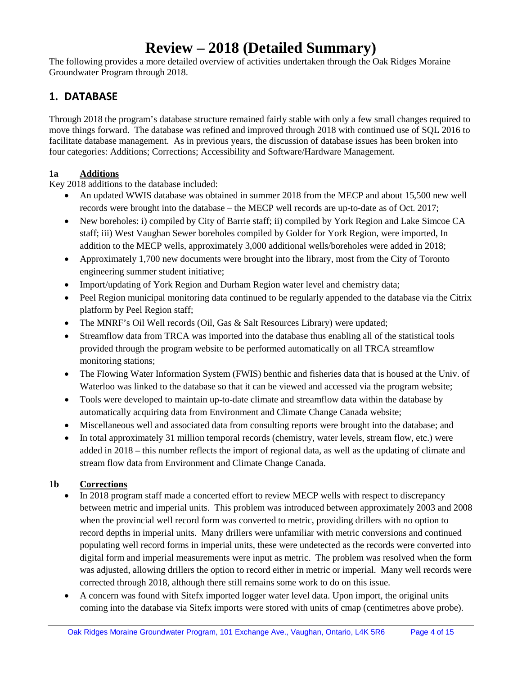# **Review – 2018 (Detailed Summary)**

The following provides a more detailed overview of activities undertaken through the Oak Ridges Moraine Groundwater Program through 2018.

# **1. DATABASE**

Through 2018 the program's database structure remained fairly stable with only a few small changes required to move things forward. The database was refined and improved through 2018 with continued use of SQL 2016 to facilitate database management. As in previous years, the discussion of database issues has been broken into four categories: Additions; Corrections; Accessibility and Software/Hardware Management.

### **1a Additions**

Key 2018 additions to the database included:

- An updated WWIS database was obtained in summer 2018 from the MECP and about 15,500 new well records were brought into the database – the MECP well records are up-to-date as of Oct. 2017;
- New boreholes: i) compiled by City of Barrie staff; ii) compiled by York Region and Lake Simcoe CA staff; iii) West Vaughan Sewer boreholes compiled by Golder for York Region, were imported, In addition to the MECP wells, approximately 3,000 additional wells/boreholes were added in 2018;
- Approximately 1,700 new documents were brought into the library, most from the City of Toronto engineering summer student initiative;
- Import/updating of York Region and Durham Region water level and chemistry data;
- Peel Region municipal monitoring data continued to be regularly appended to the database via the Citrix platform by Peel Region staff;
- The MNRF's Oil Well records (Oil, Gas & Salt Resources Library) were updated;
- Streamflow data from TRCA was imported into the database thus enabling all of the statistical tools provided through the program website to be performed automatically on all TRCA streamflow monitoring stations;
- The Flowing Water Information System (FWIS) benthic and fisheries data that is housed at the Univ. of Waterloo was linked to the database so that it can be viewed and accessed via the program website;
- Tools were developed to maintain up-to-date climate and streamflow data within the database by automatically acquiring data from Environment and Climate Change Canada website;
- Miscellaneous well and associated data from consulting reports were brought into the database; and
- In total approximately 31 million temporal records (chemistry, water levels, stream flow, etc.) were added in 2018 – this number reflects the import of regional data, as well as the updating of climate and stream flow data from Environment and Climate Change Canada.

### **1b Corrections**

- In 2018 program staff made a concerted effort to review MECP wells with respect to discrepancy between metric and imperial units. This problem was introduced between approximately 2003 and 2008 when the provincial well record form was converted to metric, providing drillers with no option to record depths in imperial units. Many drillers were unfamiliar with metric conversions and continued populating well record forms in imperial units, these were undetected as the records were converted into digital form and imperial measurements were input as metric. The problem was resolved when the form was adjusted, allowing drillers the option to record either in metric or imperial. Many well records were corrected through 2018, although there still remains some work to do on this issue.
- A concern was found with Sitefx imported logger water level data. Upon import, the original units coming into the database via Sitefx imports were stored with units of cmap (centimetres above probe).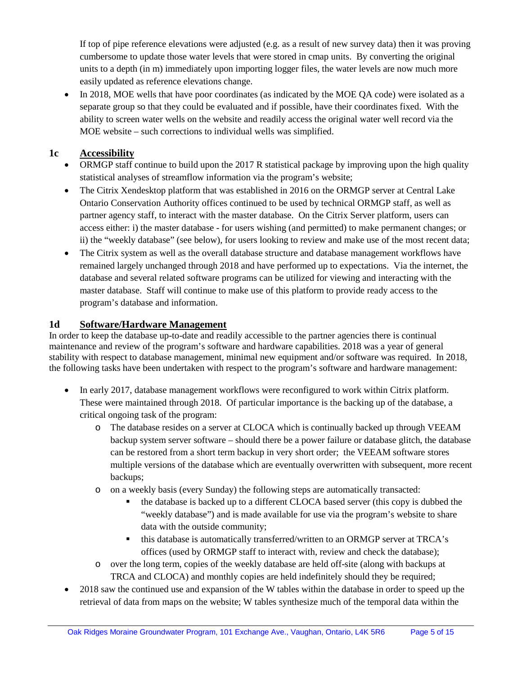If top of pipe reference elevations were adjusted (e.g. as a result of new survey data) then it was proving cumbersome to update those water levels that were stored in cmap units. By converting the original units to a depth (in m) immediately upon importing logger files, the water levels are now much more easily updated as reference elevations change.

• In 2018, MOE wells that have poor coordinates (as indicated by the MOE QA code) were isolated as a separate group so that they could be evaluated and if possible, have their coordinates fixed. With the ability to screen water wells on the website and readily access the original water well record via the MOE website – such corrections to individual wells was simplified.

## **1c Accessibility**

- ORMGP staff continue to build upon the 2017 R statistical package by improving upon the high quality statistical analyses of streamflow information via the program's website;
- The Citrix Xendesktop platform that was established in 2016 on the ORMGP server at Central Lake Ontario Conservation Authority offices continued to be used by technical ORMGP staff, as well as partner agency staff, to interact with the master database. On the Citrix Server platform, users can access either: i) the master database - for users wishing (and permitted) to make permanent changes; or ii) the "weekly database" (see below), for users looking to review and make use of the most recent data;
- The Citrix system as well as the overall database structure and database management workflows have remained largely unchanged through 2018 and have performed up to expectations. Via the internet, the database and several related software programs can be utilized for viewing and interacting with the master database. Staff will continue to make use of this platform to provide ready access to the program's database and information.

## **1d Software/Hardware Management**

In order to keep the database up-to-date and readily accessible to the partner agencies there is continual maintenance and review of the program's software and hardware capabilities. 2018 was a year of general stability with respect to database management, minimal new equipment and/or software was required. In 2018, the following tasks have been undertaken with respect to the program's software and hardware management:

- In early 2017, database management workflows were reconfigured to work within Citrix platform. These were maintained through 2018. Of particular importance is the backing up of the database, a critical ongoing task of the program:
	- o The database resides on a server at CLOCA which is continually backed up through VEEAM backup system server software – should there be a power failure or database glitch, the database can be restored from a short term backup in very short order; the VEEAM software stores multiple versions of the database which are eventually overwritten with subsequent, more recent backups;
	- o on a weekly basis (every Sunday) the following steps are automatically transacted:
		- the database is backed up to a different CLOCA based server (this copy is dubbed the "weekly database") and is made available for use via the program's website to share data with the outside community;
		- this database is automatically transferred/written to an ORMGP server at TRCA's offices (used by ORMGP staff to interact with, review and check the database);
	- o over the long term, copies of the weekly database are held off-site (along with backups at TRCA and CLOCA) and monthly copies are held indefinitely should they be required;
- 2018 saw the continued use and expansion of the W tables within the database in order to speed up the retrieval of data from maps on the website; W tables synthesize much of the temporal data within the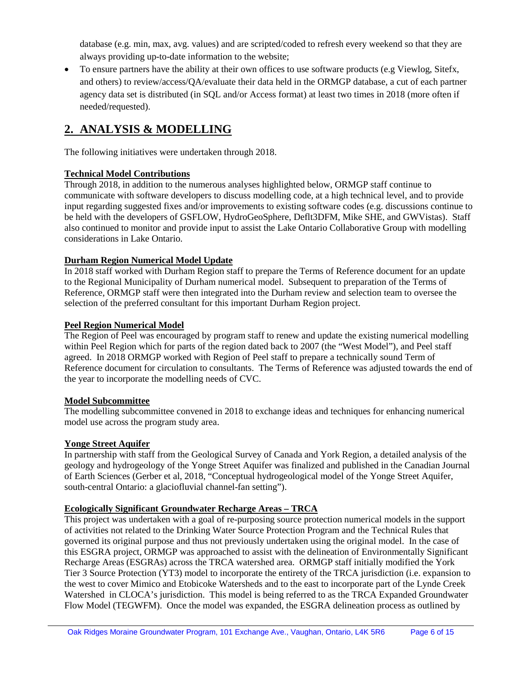database (e.g. min, max, avg. values) and are scripted/coded to refresh every weekend so that they are always providing up-to-date information to the website;

• To ensure partners have the ability at their own offices to use software products (e.g Viewlog, Sitefx, and others) to review/access/QA/evaluate their data held in the ORMGP database, a cut of each partner agency data set is distributed (in SQL and/or Access format) at least two times in 2018 (more often if needed/requested).

# **2. ANALYSIS & MODELLING**

The following initiatives were undertaken through 2018.

### **Technical Model Contributions**

Through 2018, in addition to the numerous analyses highlighted below, ORMGP staff continue to communicate with software developers to discuss modelling code, at a high technical level, and to provide input regarding suggested fixes and/or improvements to existing software codes (e.g. discussions continue to be held with the developers of GSFLOW, HydroGeoSphere, Deflt3DFM, Mike SHE, and GWVistas). Staff also continued to monitor and provide input to assist the Lake Ontario Collaborative Group with modelling considerations in Lake Ontario.

### **Durham Region Numerical Model Update**

In 2018 staff worked with Durham Region staff to prepare the Terms of Reference document for an update to the Regional Municipality of Durham numerical model. Subsequent to preparation of the Terms of Reference, ORMGP staff were then integrated into the Durham review and selection team to oversee the selection of the preferred consultant for this important Durham Region project.

### **Peel Region Numerical Model**

The Region of Peel was encouraged by program staff to renew and update the existing numerical modelling within Peel Region which for parts of the region dated back to 2007 (the "West Model"), and Peel staff agreed. In 2018 ORMGP worked with Region of Peel staff to prepare a technically sound Term of Reference document for circulation to consultants. The Terms of Reference was adjusted towards the end of the year to incorporate the modelling needs of CVC.

#### **Model Subcommittee**

The modelling subcommittee convened in 2018 to exchange ideas and techniques for enhancing numerical model use across the program study area.

#### **Yonge Street Aquifer**

In partnership with staff from the Geological Survey of Canada and York Region, a detailed analysis of the geology and hydrogeology of the Yonge Street Aquifer was finalized and published in the Canadian Journal of Earth Sciences (Gerber et al, 2018, "Conceptual hydrogeological model of the Yonge Street Aquifer, south-central Ontario: a glaciofluvial channel-fan setting").

### **Ecologically Significant Groundwater Recharge Areas – TRCA**

This project was undertaken with a goal of re-purposing source protection numerical models in the support of activities not related to the Drinking Water Source Protection Program and the Technical Rules that governed its original purpose and thus not previously undertaken using the original model. In the case of this ESGRA project, ORMGP was approached to assist with the delineation of Environmentally Significant Recharge Areas (ESGRAs) across the TRCA watershed area. ORMGP staff initially modified the York Tier 3 Source Protection (YT3) model to incorporate the entirety of the TRCA jurisdiction (i.e. expansion to the west to cover Mimico and Etobicoke Watersheds and to the east to incorporate part of the Lynde Creek Watershed in CLOCA's jurisdiction. This model is being referred to as the TRCA Expanded Groundwater Flow Model (TEGWFM). Once the model was expanded, the ESGRA delineation process as outlined by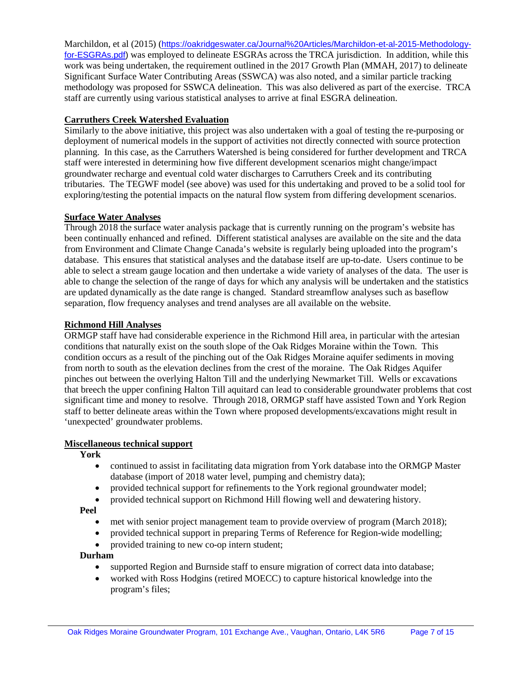Marchildon, et al (2015) ([https://oakridgeswater.ca/Journal%20Articles/Marchildon-et-al-2015-Methodology](https://oakridgeswater.ca/Journal%20Articles/Marchildon-et-al-2015-Methodology-for-ESGRAs.pdf)[for-ESGRAs.pdf\)](https://oakridgeswater.ca/Journal%20Articles/Marchildon-et-al-2015-Methodology-for-ESGRAs.pdf) was employed to delineate ESGRAs across the TRCA jurisdiction. In addition, while this work was being undertaken, the requirement outlined in the 2017 Growth Plan (MMAH, 2017) to delineate Significant Surface Water Contributing Areas (SSWCA) was also noted, and a similar particle tracking methodology was proposed for SSWCA delineation. This was also delivered as part of the exercise. TRCA staff are currently using various statistical analyses to arrive at final ESGRA delineation.

#### **Carruthers Creek Watershed Evaluation**

Similarly to the above initiative, this project was also undertaken with a goal of testing the re-purposing or deployment of numerical models in the support of activities not directly connected with source protection planning. In this case, as the Carruthers Watershed is being considered for further development and TRCA staff were interested in determining how five different development scenarios might change/impact groundwater recharge and eventual cold water discharges to Carruthers Creek and its contributing tributaries. The TEGWF model (see above) was used for this undertaking and proved to be a solid tool for exploring/testing the potential impacts on the natural flow system from differing development scenarios.

#### **Surface Water Analyses**

Through 2018 the surface water analysis package that is currently running on the program's website has been continually enhanced and refined. Different statistical analyses are available on the site and the data from Environment and Climate Change Canada's website is regularly being uploaded into the program's database. This ensures that statistical analyses and the database itself are up-to-date. Users continue to be able to select a stream gauge location and then undertake a wide variety of analyses of the data. The user is able to change the selection of the range of days for which any analysis will be undertaken and the statistics are updated dynamically as the date range is changed. Standard streamflow analyses such as baseflow separation, flow frequency analyses and trend analyses are all available on the website.

#### **Richmond Hill Analyses**

ORMGP staff have had considerable experience in the Richmond Hill area, in particular with the artesian conditions that naturally exist on the south slope of the Oak Ridges Moraine within the Town. This condition occurs as a result of the pinching out of the Oak Ridges Moraine aquifer sediments in moving from north to south as the elevation declines from the crest of the moraine. The Oak Ridges Aquifer pinches out between the overlying Halton Till and the underlying Newmarket Till. Wells or excavations that breech the upper confining Halton Till aquitard can lead to considerable groundwater problems that cost significant time and money to resolve. Through 2018, ORMGP staff have assisted Town and York Region staff to better delineate areas within the Town where proposed developments/excavations might result in 'unexpected' groundwater problems.

#### **Miscellaneous technical support**

**York**

- continued to assist in facilitating data migration from York database into the ORMGP Master database (import of 2018 water level, pumping and chemistry data);
- provided technical support for refinements to the York regional groundwater model;
- provided technical support on Richmond Hill flowing well and dewatering history.

**Peel**

- met with senior project management team to provide overview of program (March 2018);
- provided technical support in preparing Terms of Reference for Region-wide modelling;
- provided training to new co-op intern student;

#### **Durham**

- supported Region and Burnside staff to ensure migration of correct data into database;
- worked with Ross Hodgins (retired MOECC) to capture historical knowledge into the program's files;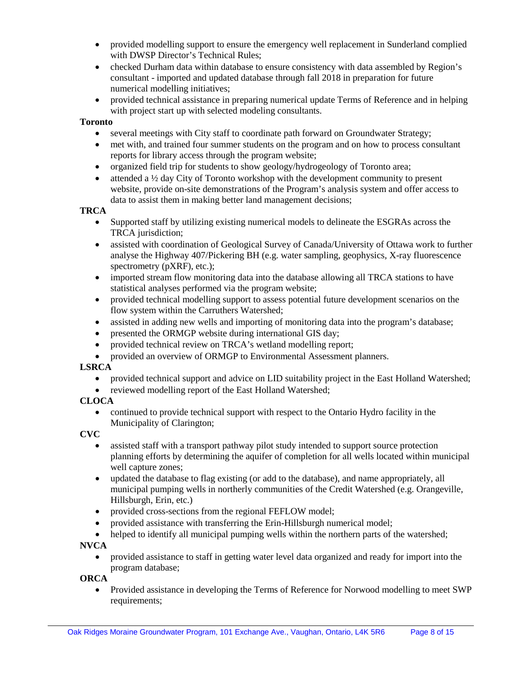- provided modelling support to ensure the emergency well replacement in Sunderland complied with DWSP Director's Technical Rules;
- checked Durham data within database to ensure consistency with data assembled by Region's consultant - imported and updated database through fall 2018 in preparation for future numerical modelling initiatives;
- provided technical assistance in preparing numerical update Terms of Reference and in helping with project start up with selected modeling consultants.

#### **Toronto**

- several meetings with City staff to coordinate path forward on Groundwater Strategy;
- met with, and trained four summer students on the program and on how to process consultant reports for library access through the program website;
- organized field trip for students to show geology/hydrogeology of Toronto area;
- attended a ½ day City of Toronto workshop with the development community to present website, provide on-site demonstrations of the Program's analysis system and offer access to data to assist them in making better land management decisions;

#### **TRCA**

- Supported staff by utilizing existing numerical models to delineate the ESGRAs across the TRCA jurisdiction;
- assisted with coordination of Geological Survey of Canada/University of Ottawa work to further analyse the Highway 407/Pickering BH (e.g. water sampling, geophysics, X-ray fluorescence spectrometry (pXRF), etc.);
- imported stream flow monitoring data into the database allowing all TRCA stations to have statistical analyses performed via the program website;
- provided technical modelling support to assess potential future development scenarios on the flow system within the Carruthers Watershed;
- assisted in adding new wells and importing of monitoring data into the program's database;
- presented the ORMGP website during international GIS day;
- provided technical review on TRCA's wetland modelling report;
- provided an overview of ORMGP to Environmental Assessment planners.

#### **LSRCA**

- provided technical support and advice on LID suitability project in the East Holland Watershed;
- reviewed modelling report of the East Holland Watershed;

#### **CLOCA**

• continued to provide technical support with respect to the Ontario Hydro facility in the Municipality of Clarington;

#### **CVC**

- assisted staff with a transport pathway pilot study intended to support source protection planning efforts by determining the aquifer of completion for all wells located within municipal well capture zones;
- updated the database to flag existing (or add to the database), and name appropriately, all municipal pumping wells in northerly communities of the Credit Watershed (e.g. Orangeville, Hillsburgh, Erin, etc.)
- provided cross-sections from the regional FEFLOW model;
- provided assistance with transferring the Erin-Hillsburgh numerical model;
- helped to identify all municipal pumping wells within the northern parts of the watershed;

#### **NVCA**

• provided assistance to staff in getting water level data organized and ready for import into the program database;

#### **ORCA**

• Provided assistance in developing the Terms of Reference for Norwood modelling to meet SWP requirements;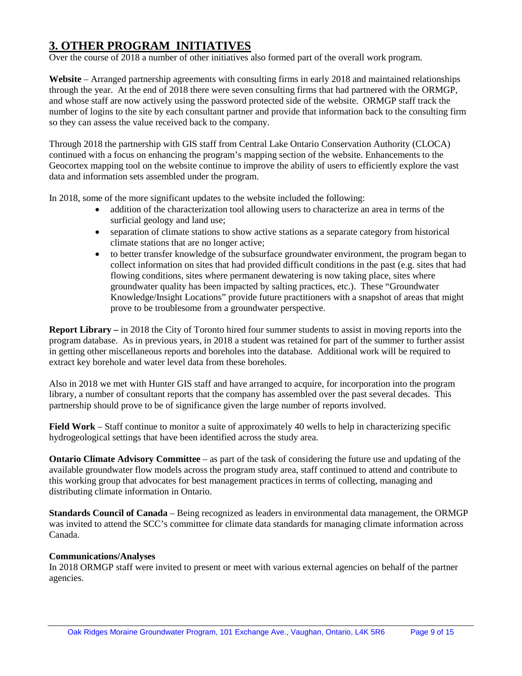# **3. OTHER PROGRAM INITIATIVES**

Over the course of 2018 a number of other initiatives also formed part of the overall work program.

Website – Arranged partnership agreements with consulting firms in early 2018 and maintained relationships through the year. At the end of 2018 there were seven consulting firms that had partnered with the ORMGP, and whose staff are now actively using the password protected side of the website. ORMGP staff track the number of logins to the site by each consultant partner and provide that information back to the consulting firm so they can assess the value received back to the company.

Through 2018 the partnership with GIS staff from Central Lake Ontario Conservation Authority (CLOCA) continued with a focus on enhancing the program's mapping section of the website. Enhancements to the Geocortex mapping tool on the website continue to improve the ability of users to efficiently explore the vast data and information sets assembled under the program.

In 2018, some of the more significant updates to the website included the following:

- addition of the characterization tool allowing users to characterize an area in terms of the surficial geology and land use;
- separation of climate stations to show active stations as a separate category from historical climate stations that are no longer active;
- to better transfer knowledge of the subsurface groundwater environment, the program began to collect information on sites that had provided difficult conditions in the past (e.g. sites that had flowing conditions, sites where permanent dewatering is now taking place, sites where groundwater quality has been impacted by salting practices, etc.). These "Groundwater Knowledge/Insight Locations" provide future practitioners with a snapshot of areas that might prove to be troublesome from a groundwater perspective.

**Report Library –** in 2018 the City of Toronto hired four summer students to assist in moving reports into the program database. As in previous years, in 2018 a student was retained for part of the summer to further assist in getting other miscellaneous reports and boreholes into the database. Additional work will be required to extract key borehole and water level data from these boreholes.

Also in 2018 we met with Hunter GIS staff and have arranged to acquire, for incorporation into the program library, a number of consultant reports that the company has assembled over the past several decades. This partnership should prove to be of significance given the large number of reports involved.

**Field Work** – Staff continue to monitor a suite of approximately 40 wells to help in characterizing specific hydrogeological settings that have been identified across the study area.

**Ontario Climate Advisory Committee** – as part of the task of considering the future use and updating of the available groundwater flow models across the program study area, staff continued to attend and contribute to this working group that advocates for best management practices in terms of collecting, managing and distributing climate information in Ontario.

**Standards Council of Canada** – Being recognized as leaders in environmental data management, the ORMGP was invited to attend the SCC's committee for climate data standards for managing climate information across Canada.

#### **Communications/Analyses**

In 2018 ORMGP staff were invited to present or meet with various external agencies on behalf of the partner agencies.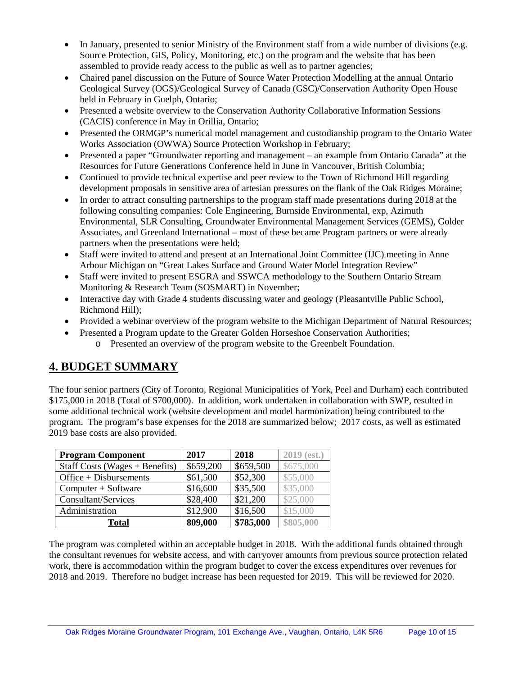- In January, presented to senior Ministry of the Environment staff from a wide number of divisions (e.g. Source Protection, GIS, Policy, Monitoring, etc.) on the program and the website that has been assembled to provide ready access to the public as well as to partner agencies;
- Chaired panel discussion on the Future of Source Water Protection Modelling at the annual Ontario Geological Survey (OGS)/Geological Survey of Canada (GSC)/Conservation Authority Open House held in February in Guelph, Ontario;
- Presented a website overview to the Conservation Authority Collaborative Information Sessions (CACIS) conference in May in Orillia, Ontario;
- Presented the ORMGP's numerical model management and custodianship program to the Ontario Water Works Association (OWWA) Source Protection Workshop in February;
- Presented a paper "Groundwater reporting and management an example from Ontario Canada" at the Resources for Future Generations Conference held in June in Vancouver, British Columbia;
- Continued to provide technical expertise and peer review to the Town of Richmond Hill regarding development proposals in sensitive area of artesian pressures on the flank of the Oak Ridges Moraine;
- In order to attract consulting partnerships to the program staff made presentations during 2018 at the following consulting companies: Cole Engineering, Burnside Environmental, exp, Azimuth Environmental, SLR Consulting, Groundwater Environmental Management Services (GEMS), Golder Associates, and Greenland International – most of these became Program partners or were already partners when the presentations were held;
- Staff were invited to attend and present at an International Joint Committee (IJC) meeting in Anne Arbour Michigan on "Great Lakes Surface and Ground Water Model Integration Review"
- Staff were invited to present ESGRA and SSWCA methodology to the Southern Ontario Stream Monitoring & Research Team (SOSMART) in November;
- Interactive day with Grade 4 students discussing water and geology (Pleasantville Public School, Richmond Hill);
- Provided a webinar overview of the program website to the Michigan Department of Natural Resources;
- Presented a Program update to the Greater Golden Horseshoe Conservation Authorities;
	- o Presented an overview of the program website to the Greenbelt Foundation.

# **4. BUDGET SUMMARY**

The four senior partners (City of Toronto, Regional Municipalities of York, Peel and Durham) each contributed \$175,000 in 2018 (Total of \$700,000). In addition, work undertaken in collaboration with SWP, resulted in some additional technical work (website development and model harmonization) being contributed to the program. The program's base expenses for the 2018 are summarized below; 2017 costs, as well as estimated 2019 base costs are also provided.

| <b>Program Component</b>         | 2017      | 2018      | $2019$ (est.) |
|----------------------------------|-----------|-----------|---------------|
| Staff Costs (Wages $+$ Benefits) | \$659,200 | \$659,500 | \$675,000     |
| $Office + Disbursements$         | \$61,500  | \$52,300  | \$55,000      |
| $Computer + Software$            | \$16,600  | \$35,500  | \$35,000      |
| Consultant/Services              | \$28,400  | \$21,200  | \$25,000      |
| Administration                   | \$12,900  | \$16,500  | \$15,000      |
| <b>Total</b>                     | 809,000   | \$785,000 | \$805,000     |

The program was completed within an acceptable budget in 2018. With the additional funds obtained through the consultant revenues for website access, and with carryover amounts from previous source protection related work, there is accommodation within the program budget to cover the excess expenditures over revenues for 2018 and 2019. Therefore no budget increase has been requested for 2019. This will be reviewed for 2020.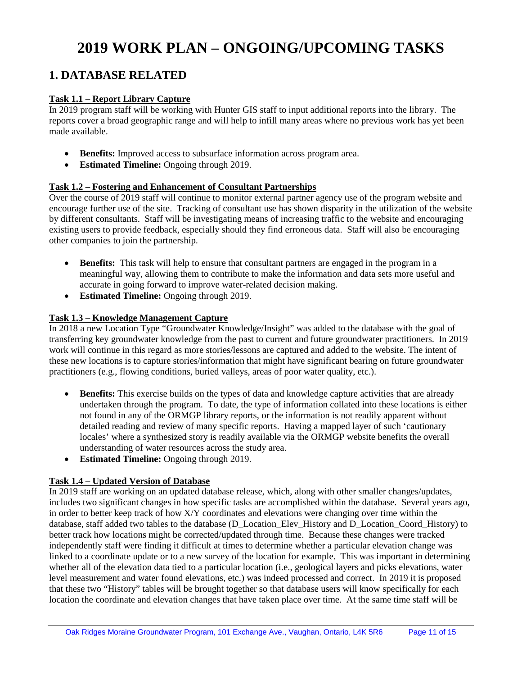# **2019 WORK PLAN – ONGOING/UPCOMING TASKS**

# **1. DATABASE RELATED**

#### **Task 1.1 – Report Library Capture**

In 2019 program staff will be working with Hunter GIS staff to input additional reports into the library. The reports cover a broad geographic range and will help to infill many areas where no previous work has yet been made available.

- **Benefits:** Improved access to subsurface information across program area.
- **Estimated Timeline:** Ongoing through 2019.

#### **Task 1.2 – Fostering and Enhancement of Consultant Partnerships**

Over the course of 2019 staff will continue to monitor external partner agency use of the program website and encourage further use of the site. Tracking of consultant use has shown disparity in the utilization of the website by different consultants. Staff will be investigating means of increasing traffic to the website and encouraging existing users to provide feedback, especially should they find erroneous data. Staff will also be encouraging other companies to join the partnership.

- **Benefits:** This task will help to ensure that consultant partners are engaged in the program in a meaningful way, allowing them to contribute to make the information and data sets more useful and accurate in going forward to improve water-related decision making.
- **Estimated Timeline:** Ongoing through 2019.

#### **Task 1.3 – Knowledge Management Capture**

In 2018 a new Location Type "Groundwater Knowledge/Insight" was added to the database with the goal of transferring key groundwater knowledge from the past to current and future groundwater practitioners. In 2019 work will continue in this regard as more stories/lessons are captured and added to the website. The intent of these new locations is to capture stories/information that might have significant bearing on future groundwater practitioners (e.g., flowing conditions, buried valleys, areas of poor water quality, etc.).

- **Benefits:** This exercise builds on the types of data and knowledge capture activities that are already undertaken through the program. To date, the type of information collated into these locations is either not found in any of the ORMGP library reports, or the information is not readily apparent without detailed reading and review of many specific reports. Having a mapped layer of such 'cautionary locales' where a synthesized story is readily available via the ORMGP website benefits the overall understanding of water resources across the study area.
- **Estimated Timeline:** Ongoing through 2019.

#### **Task 1.4 – Updated Version of Database**

In 2019 staff are working on an updated database release, which, along with other smaller changes/updates, includes two significant changes in how specific tasks are accomplished within the database. Several years ago, in order to better keep track of how X/Y coordinates and elevations were changing over time within the database, staff added two tables to the database (D\_Location\_Elev\_History and D\_Location\_Coord\_History) to better track how locations might be corrected/updated through time. Because these changes were tracked independently staff were finding it difficult at times to determine whether a particular elevation change was linked to a coordinate update or to a new survey of the location for example. This was important in determining whether all of the elevation data tied to a particular location (i.e., geological layers and picks elevations, water level measurement and water found elevations, etc.) was indeed processed and correct. In 2019 it is proposed that these two "History" tables will be brought together so that database users will know specifically for each location the coordinate and elevation changes that have taken place over time. At the same time staff will be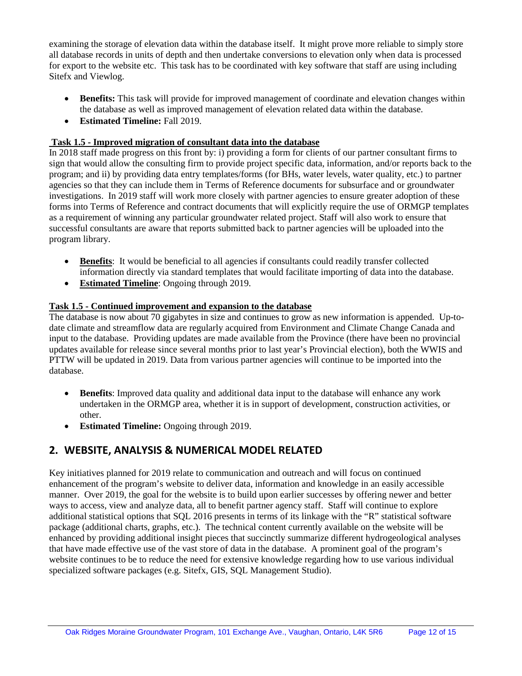examining the storage of elevation data within the database itself. It might prove more reliable to simply store all database records in units of depth and then undertake conversions to elevation only when data is processed for export to the website etc. This task has to be coordinated with key software that staff are using including Sitefx and Viewlog.

- **Benefits:** This task will provide for improved management of coordinate and elevation changes within the database as well as improved management of elevation related data within the database.
- **Estimated Timeline:** Fall 2019.

#### **Task 1.5 - Improved migration of consultant data into the database**

In 2018 staff made progress on this front by: i) providing a form for clients of our partner consultant firms to sign that would allow the consulting firm to provide project specific data, information, and/or reports back to the program; and ii) by providing data entry templates/forms (for BHs, water levels, water quality, etc.) to partner agencies so that they can include them in Terms of Reference documents for subsurface and or groundwater investigations. In 2019 staff will work more closely with partner agencies to ensure greater adoption of these forms into Terms of Reference and contract documents that will explicitly require the use of ORMGP templates as a requirement of winning any particular groundwater related project. Staff will also work to ensure that successful consultants are aware that reports submitted back to partner agencies will be uploaded into the program library.

- **Benefits**: It would be beneficial to all agencies if consultants could readily transfer collected information directly via standard templates that would facilitate importing of data into the database.
- **Estimated Timeline**: Ongoing through 2019.

#### **Task 1.5 - Continued improvement and expansion to the database**

The database is now about 70 gigabytes in size and continues to grow as new information is appended. Up-todate climate and streamflow data are regularly acquired from Environment and Climate Change Canada and input to the database. Providing updates are made available from the Province (there have been no provincial updates available for release since several months prior to last year's Provincial election), both the WWIS and PTTW will be updated in 2019. Data from various partner agencies will continue to be imported into the database.

- **Benefits**: Improved data quality and additional data input to the database will enhance any work undertaken in the ORMGP area, whether it is in support of development, construction activities, or other.
- **Estimated Timeline:** Ongoing through 2019.

# **2. WEBSITE, ANALYSIS & NUMERICAL MODEL RELATED**

Key initiatives planned for 2019 relate to communication and outreach and will focus on continued enhancement of the program's website to deliver data, information and knowledge in an easily accessible manner. Over 2019, the goal for the website is to build upon earlier successes by offering newer and better ways to access, view and analyze data, all to benefit partner agency staff. Staff will continue to explore additional statistical options that SQL 2016 presents in terms of its linkage with the "R" statistical software package (additional charts, graphs, etc.). The technical content currently available on the website will be enhanced by providing additional insight pieces that succinctly summarize different hydrogeological analyses that have made effective use of the vast store of data in the database. A prominent goal of the program's website continues to be to reduce the need for extensive knowledge regarding how to use various individual specialized software packages (e.g. Sitefx, GIS, SQL Management Studio).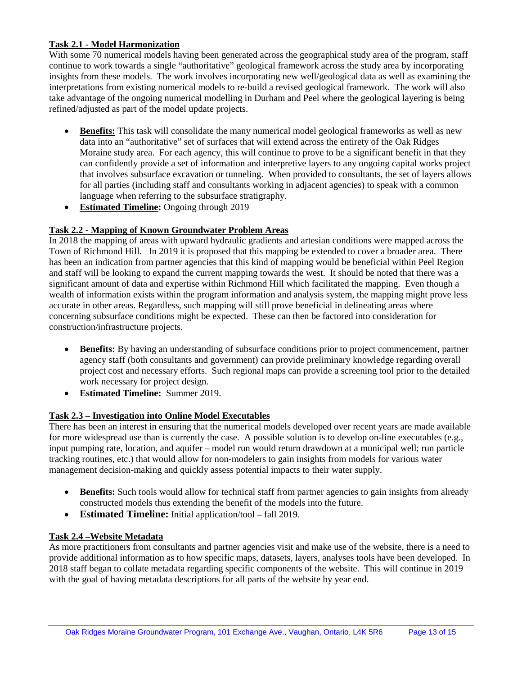#### **Task 2.1 - Model Harmonization**

With some 70 numerical models having been generated across the geographical study area of the program, staff continue to work towards a single "authoritative" geological framework across the study area by incorporating insights from these models. The work involves incorporating new well/geological data as well as examining the interpretations from existing numerical models to re-build a revised geological framework. The work will also take advantage of the ongoing numerical modelling in Durham and Peel where the geological layering is being refined/adjusted as part of the model update projects.

- **Benefits:** This task will consolidate the many numerical model geological frameworks as well as new data into an "authoritative" set of surfaces that will extend across the entirety of the Oak Ridges Moraine study area. For each agency, this will continue to prove to be a significant benefit in that they can confidently provide a set of information and interpretive layers to any ongoing capital works project that involves subsurface excavation or tunneling. When provided to consultants, the set of layers allows for all parties (including staff and consultants working in adjacent agencies) to speak with a common language when referring to the subsurface stratigraphy.
- **Estimated Timeline:** Ongoing through 2019

#### **Task 2.2 - Mapping of Known Groundwater Problem Areas**

In 2018 the mapping of areas with upward hydraulic gradients and artesian conditions were mapped across the Town of Richmond Hill. In 2019 it is proposed that this mapping be extended to cover a broader area. There has been an indication from partner agencies that this kind of mapping would be beneficial within Peel Region and staff will be looking to expand the current mapping towards the west. It should be noted that there was a significant amount of data and expertise within Richmond Hill which facilitated the mapping. Even though a wealth of information exists within the program information and analysis system, the mapping might prove less accurate in other areas. Regardless, such mapping will still prove beneficial in delineating areas where concerning subsurface conditions might be expected. These can then be factored into consideration for construction/infrastructure projects.

- **Benefits:** By having an understanding of subsurface conditions prior to project commencement, partner agency staff (both consultants and government) can provide preliminary knowledge regarding overall project cost and necessary efforts. Such regional maps can provide a screening tool prior to the detailed work necessary for project design.
- **Estimated Timeline:** Summer 2019.

#### **Task 2.3 – Investigation into Online Model Executables**

There has been an interest in ensuring that the numerical models developed over recent years are made available for more widespread use than is currently the case. A possible solution is to develop on-line executables (e.g., input pumping rate, location, and aquifer – model run would return drawdown at a municipal well; run particle tracking routines, etc.) that would allow for non-modelers to gain insights from models for various water management decision-making and quickly assess potential impacts to their water supply.

- **Benefits:** Such tools would allow for technical staff from partner agencies to gain insights from already constructed models thus extending the benefit of the models into the future.
- **Estimated Timeline:** Initial application/tool fall 2019.

#### **Task 2.4 –Website Metadata**

As more practitioners from consultants and partner agencies visit and make use of the website, there is a need to provide additional information as to how specific maps, datasets, layers, analyses tools have been developed. In 2018 staff began to collate metadata regarding specific components of the website. This will continue in 2019 with the goal of having metadata descriptions for all parts of the website by year end.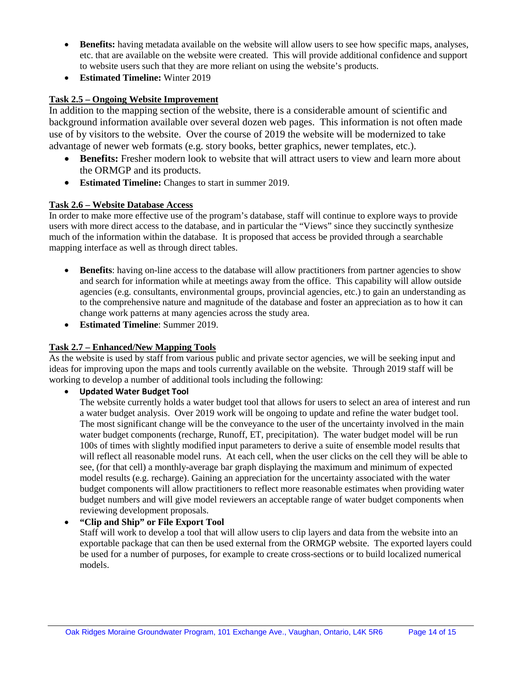- **Benefits:** having metadata available on the website will allow users to see how specific maps, analyses, etc. that are available on the website were created. This will provide additional confidence and support to website users such that they are more reliant on using the website's products.
- **Estimated Timeline:** Winter 2019

#### **Task 2.5 – Ongoing Website Improvement**

In addition to the mapping section of the website, there is a considerable amount of scientific and background information available over several dozen web pages. This information is not often made use of by visitors to the website. Over the course of 2019 the website will be modernized to take advantage of newer web formats (e.g. story books, better graphics, newer templates, etc.).

- **Benefits:** Fresher modern look to website that will attract users to view and learn more about the ORMGP and its products.
- **Estimated Timeline:** Changes to start in summer 2019.

#### **Task 2.6 – Website Database Access**

In order to make more effective use of the program's database, staff will continue to explore ways to provide users with more direct access to the database, and in particular the "Views" since they succinctly synthesize much of the information within the database. It is proposed that access be provided through a searchable mapping interface as well as through direct tables.

- **Benefits**: having on-line access to the database will allow practitioners from partner agencies to show and search for information while at meetings away from the office. This capability will allow outside agencies (e.g. consultants, environmental groups, provincial agencies, etc.) to gain an understanding as to the comprehensive nature and magnitude of the database and foster an appreciation as to how it can change work patterns at many agencies across the study area.
- **Estimated Timeline**: Summer 2019.

#### **Task 2.7 – Enhanced/New Mapping Tools**

As the website is used by staff from various public and private sector agencies, we will be seeking input and ideas for improving upon the maps and tools currently available on the website. Through 2019 staff will be working to develop a number of additional tools including the following:

#### • **Updated Water Budget Tool**

The website currently holds a water budget tool that allows for users to select an area of interest and run a water budget analysis. Over 2019 work will be ongoing to update and refine the water budget tool. The most significant change will be the conveyance to the user of the uncertainty involved in the main water budget components (recharge, Runoff, ET, precipitation). The water budget model will be run 100s of times with slightly modified input parameters to derive a suite of ensemble model results that will reflect all reasonable model runs. At each cell, when the user clicks on the cell they will be able to see, (for that cell) a monthly-average bar graph displaying the maximum and minimum of expected model results (e.g. recharge). Gaining an appreciation for the uncertainty associated with the water budget components will allow practitioners to reflect more reasonable estimates when providing water budget numbers and will give model reviewers an acceptable range of water budget components when reviewing development proposals.

#### • **"Clip and Ship" or File Export Tool**

Staff will work to develop a tool that will allow users to clip layers and data from the website into an exportable package that can then be used external from the ORMGP website. The exported layers could be used for a number of purposes, for example to create cross-sections or to build localized numerical models.